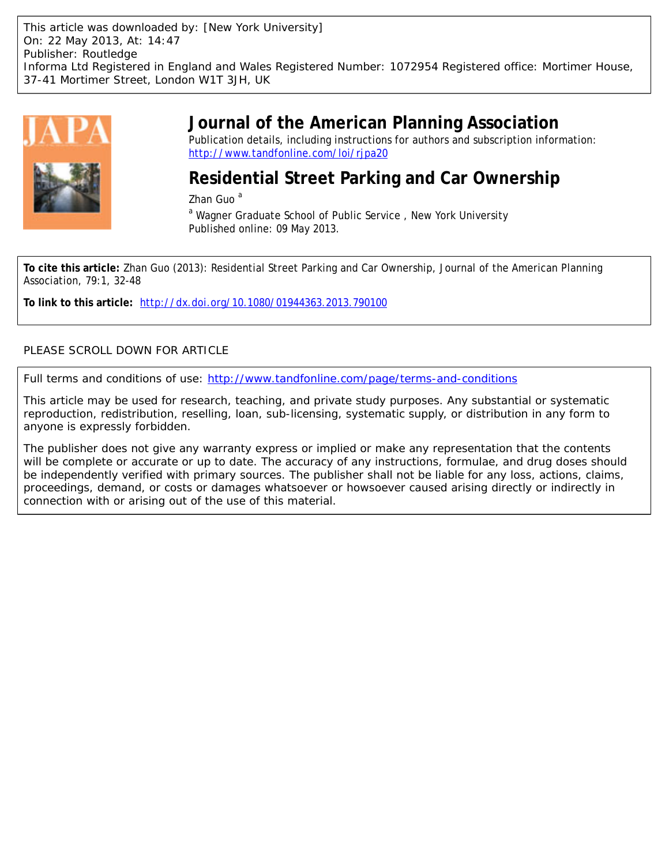

# **Journal of the American Planning Association**

Publication details, including instructions for authors and subscription information: <http://www.tandfonline.com/loi/rjpa20>

# **Residential Street Parking and Car Ownership**

Zhan Guo<sup>a</sup>

<sup>a</sup> Wagner Graduate School of Public Service, New York University Published online: 09 May 2013.

**To cite this article:** Zhan Guo (2013): Residential Street Parking and Car Ownership, Journal of the American Planning Association, 79:1, 32-48

**To link to this article:** <http://dx.doi.org/10.1080/01944363.2013.790100>

### PLEASE SCROLL DOWN FOR ARTICLE

Full terms and conditions of use:<http://www.tandfonline.com/page/terms-and-conditions>

This article may be used for research, teaching, and private study purposes. Any substantial or systematic reproduction, redistribution, reselling, loan, sub-licensing, systematic supply, or distribution in any form to anyone is expressly forbidden.

The publisher does not give any warranty express or implied or make any representation that the contents will be complete or accurate or up to date. The accuracy of any instructions, formulae, and drug doses should be independently verified with primary sources. The publisher shall not be liable for any loss, actions, claims, proceedings, demand, or costs or damages whatsoever or howsoever caused arising directly or indirectly in connection with or arising out of the use of this material.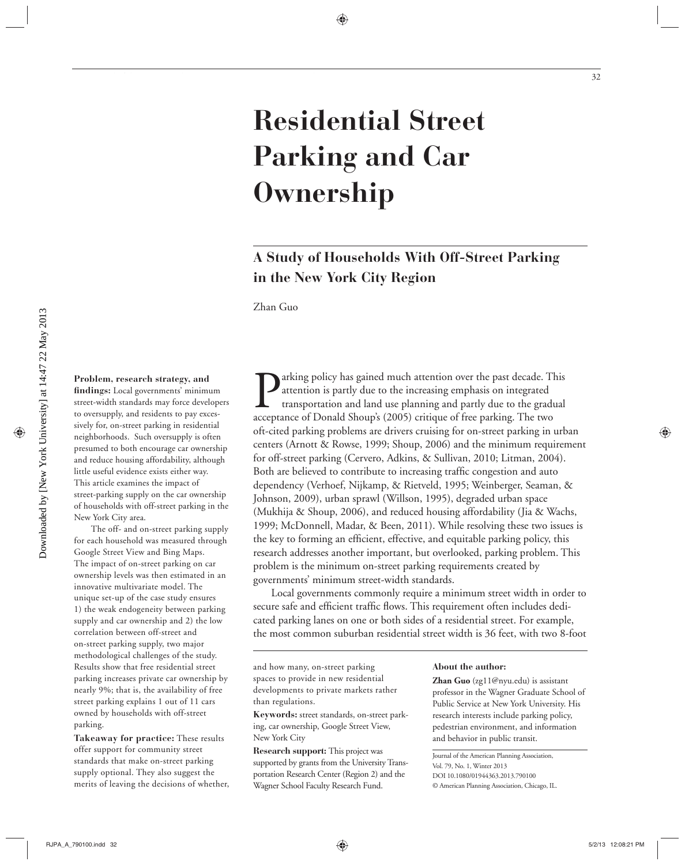# **Residential Street Parking and Car Ownership**

# **A Study of Households With Off-Street Parking in the New York City Region**

Zhan Guo

**Problem, research strategy, and**  findings: Local governments' minimum street-width standards may force developers to oversupply, and residents to pay excessively for, on-street parking in residential neighborhoods. Such oversupply is often presumed to both encourage car ownership and reduce housing affordability, although little useful evidence exists either way. This article examines the impact of street-parking supply on the car ownership of households with off-street parking in the New York City area.

The off- and on-street parking supply for each household was measured through Google Street View and Bing Maps. The impact of on-street parking on car ownership levels was then estimated in an innovative multivariate model. The unique set-up of the case study ensures 1) the weak endogeneity between parking supply and car ownership and 2) the low correlation between off-street and on-street parking supply, two major methodological challenges of the study. Results show that free residential street parking increases private car ownership by nearly 9%; that is, the availability of free street parking explains 1 out of 11 cars owned by households with off-street parking.

**Takeaway for practice:** These results offer support for community street standards that make on-street parking supply optional. They also suggest the merits of leaving the decisions of whether,

**Parking policy has gained much attention over the past decade.** This attention is partly due to the increasing emphasis on integrated transportation and land use planning and partly due to the gradual acceptance of Donald attention is partly due to the increasing emphasis on integrated transportation and land use planning and partly due to the gradual acceptance of Donald Shoup's (2005) critique of free parking. The two oft-cited parking problems are drivers cruising for on-street parking in urban centers (Arnott & Rowse, 1999; Shoup, 2006) and the minimum requirement for off-street parking (Cervero, Adkins, & Sullivan, 2010; Litman, 2004). Both are believed to contribute to increasing traffic congestion and auto dependency (Verhoef, Nijkamp, & Rietveld, 1995; Weinberger, Seaman, & Johnson, 2009), urban sprawl (Willson, 1995), degraded urban space (Mukhija & Shoup, 2006), and reduced housing affordability (Jia & Wachs, 1999; McDonnell, Madar, & Been, 2011). While resolving these two issues is the key to forming an efficient, effective, and equitable parking policy, this research addresses another important, but overlooked, parking problem. This problem is the minimum on-street parking requirements created by governments' minimum street-width standards.

Local governments commonly require a minimum street width in order to secure safe and efficient traffic flows. This requirement often includes dedicated parking lanes on one or both sides of a residential street. For example, the most common suburban residential street width is 36 feet, with two 8-foot

and how many, on-street parking spaces to provide in new residential developments to private markets rather than regulations.

**Keywords:** street standards, on-street parking, car ownership, Google Street View, New York City

**Research support:** This project was supported by grants from the University Transportation Research Center (Region 2) and the Wagner School Faculty Research Fund.

#### **About the author:**

**Zhan Guo** (zg11@nyu.edu) is assistant professor in the Wagner Graduate School of Public Service at New York University. His research interests include parking policy, pedestrian environment, and information and behavior in public transit.

Journal of the American Planning Association, Vol. 79, No. 1, Winter 2013 DOI 10.1080/01944363.2013.790100 © American Planning Association, Chicago, IL.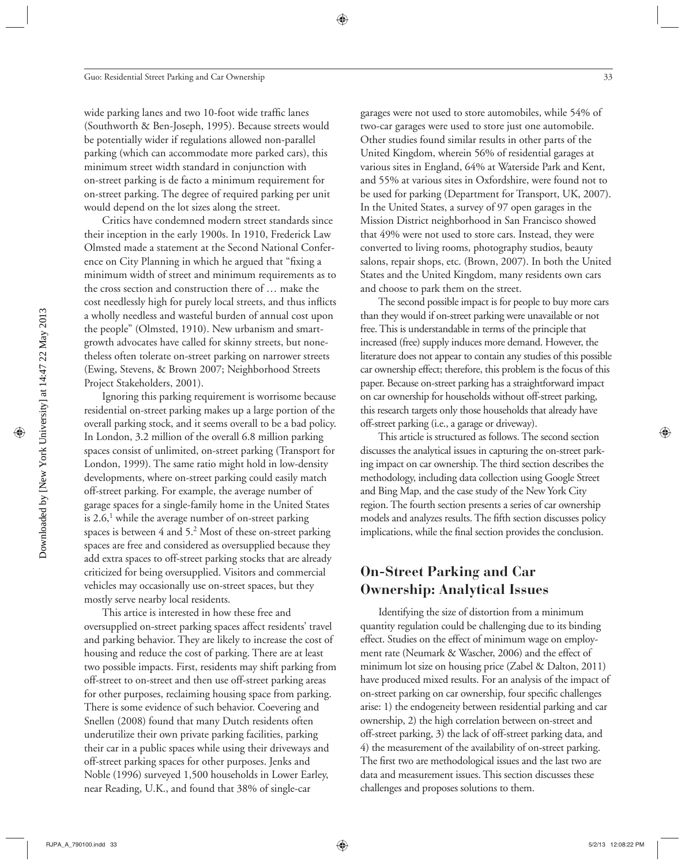wide parking lanes and two 10-foot wide traffic lanes (Southworth & Ben-Joseph, 1995). Because streets would be potentially wider if regulations allowed non-parallel parking (which can accommodate more parked cars), this minimum street width standard in conjunction with on-street parking is de facto a minimum requirement for on-street parking. The degree of required parking per unit would depend on the lot sizes along the street.

Critics have condemned modern street standards since their inception in the early 1900s. In 1910, Frederick Law Olmsted made a statement at the Second National Conference on City Planning in which he argued that "fixing a minimum width of street and minimum requirements as to the cross section and construction there of … make the cost needlessly high for purely local streets, and thus inflicts a wholly needless and wasteful burden of annual cost upon the people" (Olmsted, 1910). New urbanism and smartgrowth advocates have called for skinny streets, but nonetheless often tolerate on-street parking on narrower streets (Ewing, Stevens, & Brown 2007; Neighborhood Streets Project Stakeholders, 2001).

Ignoring this parking requirement is worrisome because residential on-street parking makes up a large portion of the overall parking stock, and it seems overall to be a bad policy. In London, 3.2 million of the overall 6.8 million parking spaces consist of unlimited, on-street parking (Transport for London, 1999). The same ratio might hold in low-density developments, where on-street parking could easily match off-street parking. For example, the average number of garage spaces for a single-family home in the United States is  $2.6$ , while the average number of on-street parking spaces is between 4 and 5.2 Most of these on-street parking spaces are free and considered as oversupplied because they add extra spaces to off-street parking stocks that are already criticized for being oversupplied. Visitors and commercial vehicles may occasionally use on-street spaces, but they mostly serve nearby local residents.

This artice is interested in how these free and oversupplied on-street parking spaces affect residents' travel and parking behavior. They are likely to increase the cost of housing and reduce the cost of parking. There are at least two possible impacts. First, residents may shift parking from off-street to on-street and then use off-street parking areas for other purposes, reclaiming housing space from parking. There is some evidence of such behavior. Coevering and Snellen (2008) found that many Dutch residents often underutilize their own private parking facilities, parking their car in a public spaces while using their driveways and off-street parking spaces for other purposes. Jenks and Noble (1996) surveyed 1,500 households in Lower Earley, near Reading, U.K., and found that 38% of single-car

garages were not used to store automobiles, while 54% of two-car garages were used to store just one automobile. Other studies found similar results in other parts of the United Kingdom, wherein 56% of residential garages at various sites in England, 64% at Waterside Park and Kent, and 55% at various sites in Oxfordshire, were found not to be used for parking (Department for Transport, UK, 2007). In the United States, a survey of 97 open garages in the Mission District neighborhood in San Francisco showed that 49% were not used to store cars. Instead, they were converted to living rooms, photography studios, beauty salons, repair shops, etc. (Brown, 2007). In both the United States and the United Kingdom, many residents own cars and choose to park them on the street.

The second possible impact is for people to buy more cars than they would if on-street parking were unavailable or not free. This is understandable in terms of the principle that increased (free) supply induces more demand. However, the literature does not appear to contain any studies of this possible car ownership effect; therefore, this problem is the focus of this paper. Because on-street parking has a straightforward impact on car ownership for households without off-street parking, this research targets only those households that already have off-street parking (i.e., a garage or driveway).

This article is structured as follows. The second section discusses the analytical issues in capturing the on-street parking impact on car ownership. The third section describes the methodology, including data collection using Google Street and Bing Map, and the case study of the New York City region. The fourth section presents a series of car ownership models and analyzes results. The fifth section discusses policy implications, while the final section provides the conclusion.

## **On-Street Parking and Car Ownership: Analytical Issues**

Identifying the size of distortion from a minimum quantity regulation could be challenging due to its binding effect. Studies on the effect of minimum wage on employment rate (Neumark & Wascher, 2006) and the effect of minimum lot size on housing price (Zabel & Dalton, 2011) have produced mixed results. For an analysis of the impact of on-street parking on car ownership, four specific challenges arise: 1) the endogeneity between residential parking and car ownership, 2) the high correlation between on-street and off-street parking, 3) the lack of off-street parking data, and 4) the measurement of the availability of on-street parking. The first two are methodological issues and the last two are data and measurement issues. This section discusses these challenges and proposes solutions to them.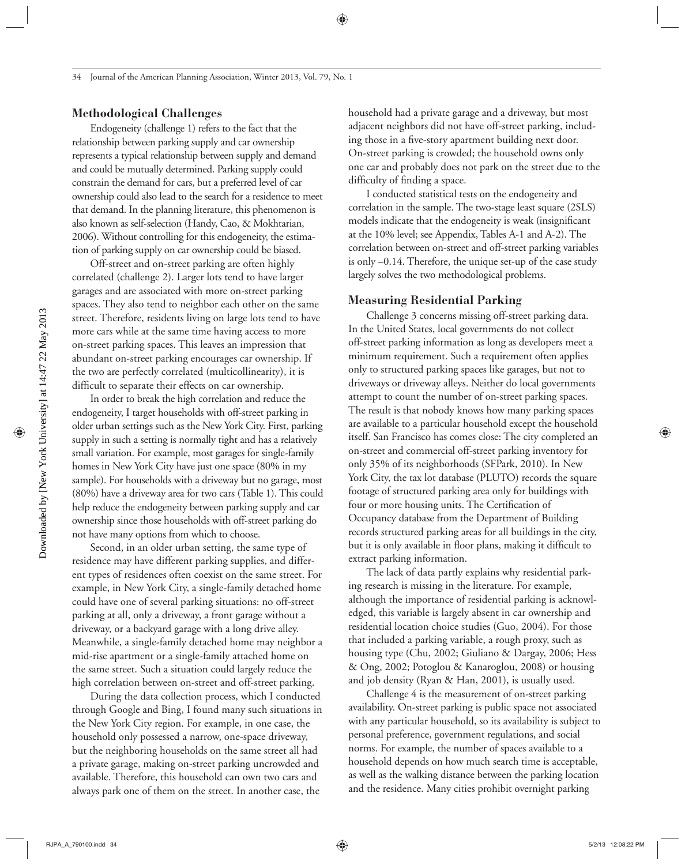#### **Methodological Challenges**

Endogeneity (challenge 1) refers to the fact that the relationship between parking supply and car ownership represents a typical relationship between supply and demand and could be mutually determined. Parking supply could constrain the demand for cars, but a preferred level of car ownership could also lead to the search for a residence to meet that demand. In the planning literature, this phenomenon is also known as self-selection (Handy, Cao, & Mokhtarian, 2006). Without controlling for this endogeneity, the estimation of parking supply on car ownership could be biased.

Off-street and on-street parking are often highly correlated (challenge 2). Larger lots tend to have larger garages and are associated with more on-street parking spaces. They also tend to neighbor each other on the same street. Therefore, residents living on large lots tend to have more cars while at the same time having access to more on-street parking spaces. This leaves an impression that abundant on-street parking encourages car ownership. If the two are perfectly correlated (multicollinearity), it is difficult to separate their effects on car ownership.

In order to break the high correlation and reduce the endogeneity, I target households with off-street parking in older urban settings such as the New York City. First, parking supply in such a setting is normally tight and has a relatively small variation. For example, most garages for single-family homes in New York City have just one space (80% in my sample). For households with a driveway but no garage, most (80%) have a driveway area for two cars (Table 1). This could help reduce the endogeneity between parking supply and car ownership since those households with off-street parking do not have many options from which to choose.

Second, in an older urban setting, the same type of residence may have different parking supplies, and different types of residences often coexist on the same street. For example, in New York City, a single-family detached home could have one of several parking situations: no off-street parking at all, only a driveway, a front garage without a driveway, or a backyard garage with a long drive alley. Meanwhile, a single-family detached home may neighbor a mid-rise apartment or a single-family attached home on the same street. Such a situation could largely reduce the high correlation between on-street and off-street parking.

During the data collection process, which I conducted through Google and Bing, I found many such situations in the New York City region. For example, in one case, the household only possessed a narrow, one-space driveway, but the neighboring households on the same street all had a private garage, making on-street parking uncrowded and available. Therefore, this household can own two cars and always park one of them on the street. In another case, the

household had a private garage and a driveway, but most adjacent neighbors did not have off-street parking, including those in a five-story apartment building next door. On-street parking is crowded; the household owns only one car and probably does not park on the street due to the difficulty of finding a space.

I conducted statistical tests on the endogeneity and correlation in the sample. The two-stage least square (2SLS) models indicate that the endogeneity is weak (insignificant at the 10% level; see Appendix, Tables A-1 and A-2). The correlation between on-street and off-street parking variables is only –0.14. Therefore, the unique set-up of the case study largely solves the two methodological problems.

#### **Measuring Residential Parking**

Challenge 3 concerns missing off-street parking data. In the United States, local governments do not collect off-street parking information as long as developers meet a minimum requirement. Such a requirement often applies only to structured parking spaces like garages, but not to driveways or driveway alleys. Neither do local governments attempt to count the number of on-street parking spaces. The result is that nobody knows how many parking spaces are available to a particular household except the household itself. San Francisco has comes close: The city completed an on-street and commercial off-street parking inventory for only 35% of its neighborhoods (SFPark, 2010). In New York City, the tax lot database (PLUTO) records the square footage of structured parking area only for buildings with four or more housing units. The Certification of Occupancy database from the Department of Building records structured parking areas for all buildings in the city, but it is only available in floor plans, making it difficult to extract parking information.

The lack of data partly explains why residential parking research is missing in the literature. For example, although the importance of residential parking is acknowledged, this variable is largely absent in car ownership and residential location choice studies (Guo, 2004). For those that included a parking variable, a rough proxy, such as housing type (Chu, 2002; Giuliano & Dargay, 2006; Hess & Ong, 2002; Potoglou & Kanaroglou, 2008) or housing and job density (Ryan & Han, 2001), is usually used.

Challenge 4 is the measurement of on-street parking availability. On-street parking is public space not associated with any particular household, so its availability is subject to personal preference, government regulations, and social norms. For example, the number of spaces available to a household depends on how much search time is acceptable, as well as the walking distance between the parking location and the residence. Many cities prohibit overnight parking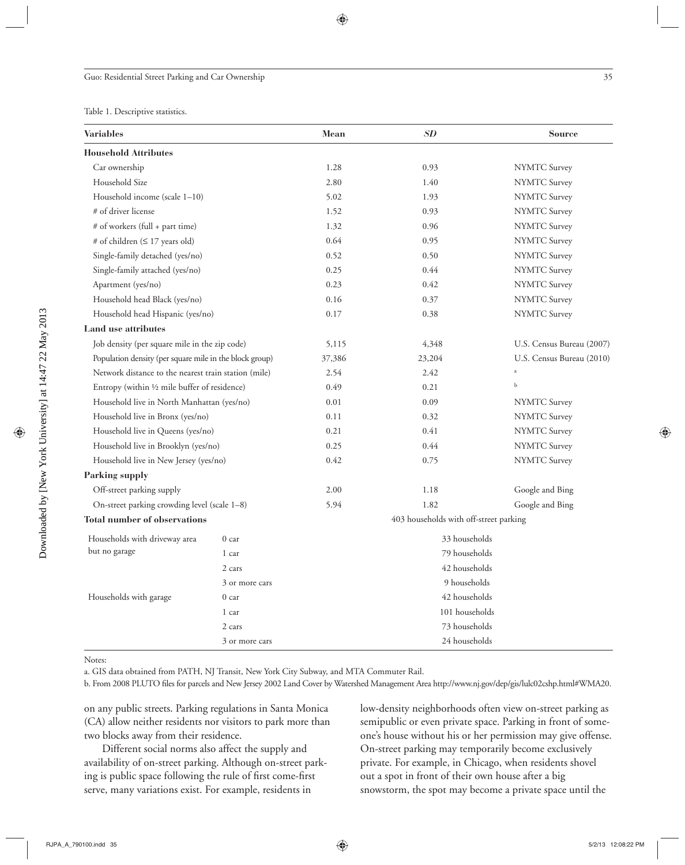#### Table 1. Descriptive statistics.

| <b>Variables</b>                                        |                  | <b>Mean</b>   | SD                                     | <b>Source</b>             |  |  |
|---------------------------------------------------------|------------------|---------------|----------------------------------------|---------------------------|--|--|
| <b>Household Attributes</b>                             |                  |               |                                        |                           |  |  |
| Car ownership                                           |                  | 1.28          | 0.93                                   | NYMTC Survey              |  |  |
| Household Size                                          |                  | 2.80          | 1.40                                   | NYMTC Survey              |  |  |
| Household income (scale 1-10)                           |                  | 5.02          | 1.93                                   | NYMTC Survey              |  |  |
| # of driver license                                     |                  | 1.52          | 0.93                                   | NYMTC Survey              |  |  |
| # of workers (full + part time)                         |                  | 1.32          | 0.96                                   | NYMTC Survey              |  |  |
| # of children $(\leq 17$ years old)                     |                  | 0.64          | 0.95                                   | NYMTC Survey              |  |  |
| Single-family detached (yes/no)                         |                  | 0.52          | 0.50                                   | NYMTC Survey              |  |  |
| Single-family attached (yes/no)                         |                  | 0.25          | 0.44                                   | NYMTC Survey              |  |  |
| Apartment (yes/no)                                      |                  | 0.23          | 0.42                                   | NYMTC Survey              |  |  |
| Household head Black (yes/no)                           |                  | 0.16          | 0.37                                   | NYMTC Survey              |  |  |
| Household head Hispanic (yes/no)                        |                  | 0.17          | 0.38                                   | NYMTC Survey              |  |  |
| <b>Land use attributes</b>                              |                  |               |                                        |                           |  |  |
| Job density (per square mile in the zip code)           |                  | 5,115         | 4,348                                  | U.S. Census Bureau (2007) |  |  |
| Population density (per square mile in the block group) |                  | 37,386        | 23,204                                 | U.S. Census Bureau (2010) |  |  |
| Network distance to the nearest train station (mile)    |                  | 2.54          | 2.42                                   | $\rm{a}$                  |  |  |
| Entropy (within 1/2 mile buffer of residence)           |                  | 0.49          | 0.21                                   | b                         |  |  |
| Household live in North Manhattan (yes/no)              |                  | 0.01          | 0.09                                   | NYMTC Survey              |  |  |
| Household live in Bronx (yes/no)                        |                  | 0.11          | 0.32                                   | NYMTC Survey              |  |  |
| Household live in Queens (yes/no)                       |                  | 0.21          | 0.41                                   | NYMTC Survey              |  |  |
| Household live in Brooklyn (yes/no)                     |                  | 0.25          | 0.44                                   | NYMTC Survey              |  |  |
| Household live in New Jersey (yes/no)                   |                  | 0.42          | 0.75                                   | NYMTC Survey              |  |  |
| Parking supply                                          |                  |               |                                        |                           |  |  |
| Off-street parking supply                               |                  | 2.00          | 1.18                                   | Google and Bing           |  |  |
| On-street parking crowding level (scale 1-8)            |                  | 5.94          | 1.82                                   | Google and Bing           |  |  |
| <b>Total number of observations</b>                     |                  |               | 403 households with off-street parking |                           |  |  |
| Households with driveway area                           | 0 <sub>car</sub> |               | 33 households                          |                           |  |  |
| but no garage                                           | 1 car            | 79 households |                                        |                           |  |  |
|                                                         | 2 cars           | 42 households |                                        |                           |  |  |
|                                                         | 3 or more cars   |               | 9 households                           |                           |  |  |
| Households with garage                                  | 0 <sub>car</sub> |               | 42 households                          |                           |  |  |
|                                                         | 1 car            |               | 101 households                         |                           |  |  |
|                                                         | 2 cars           |               | 73 households                          |                           |  |  |
|                                                         | 3 or more cars   |               | 24 households                          |                           |  |  |

Notes:

a. GIS data obtained from PATH, NJ Transit, New York City Subway, and MTA Commuter Rail.

b. From 2008 PLUTO files for parcels and New Jersey 2002 Land Cover by Watershed Management Area http://www.nj.gov/dep/gis/lulc02cshp.html#WMA20.

on any public streets. Parking regulations in Santa Monica (CA) allow neither residents nor visitors to park more than two blocks away from their residence.

Different social norms also affect the supply and availability of on-street parking. Although on-street parking is public space following the rule of first come-first serve, many variations exist. For example, residents in

low-density neighborhoods often view on-street parking as semipublic or even private space. Parking in front of someone's house without his or her permission may give offense. On-street parking may temporarily become exclusively private. For example, in Chicago, when residents shovel out a spot in front of their own house after a big snowstorm, the spot may become a private space until the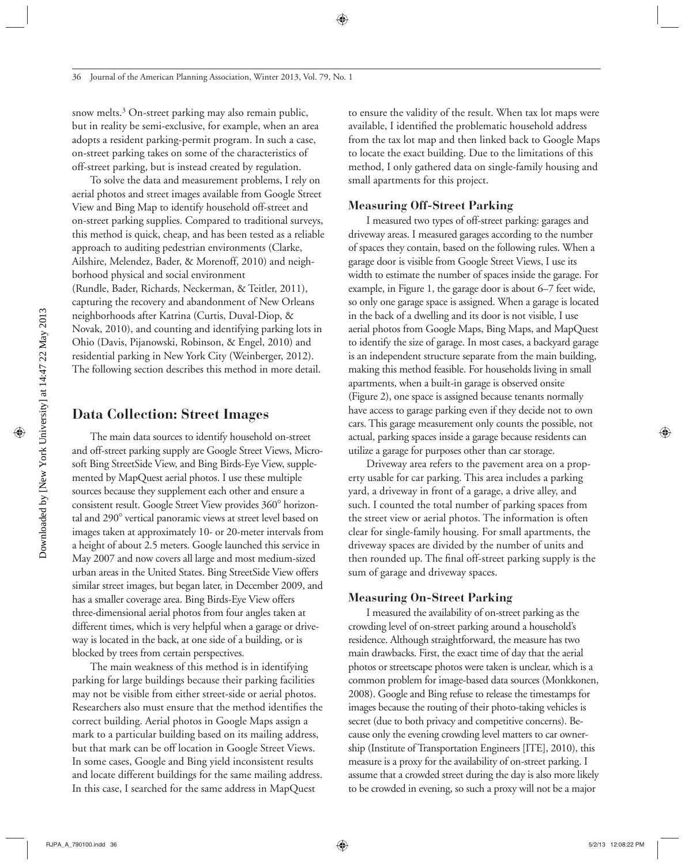snow melts.<sup>3</sup> On-street parking may also remain public, but in reality be semi-exclusive, for example, when an area adopts a resident parking-permit program. In such a case, on-street parking takes on some of the characteristics of off-street parking, but is instead created by regulation.

To solve the data and measurement problems, I rely on aerial photos and street images available from Google Street View and Bing Map to identify household off-street and on-street parking supplies. Compared to traditional surveys, this method is quick, cheap, and has been tested as a reliable approach to auditing pedestrian environments (Clarke, Ailshire, Melendez, Bader, & Morenoff, 2010) and neighborhood physical and social environment (Rundle, Bader, Richards, Neckerman, & Teitler, 2011), capturing the recovery and abandonment of New Orleans neighborhoods after Katrina (Curtis, Duval-Diop, & Novak, 2010), and counting and identifying parking lots in Ohio (Davis, Pijanowski, Robinson, & Engel, 2010) and residential parking in New York City (Weinberger, 2012). The following section describes this method in more detail.

## **Data Collection: Street Images**

The main data sources to identify household on-street and off-street parking supply are Google Street Views, Microsoft Bing StreetSide View, and Bing Birds-Eye View, supplemented by MapQuest aerial photos. I use these multiple sources because they supplement each other and ensure a consistent result. Google Street View provides 360° horizontal and 290° vertical panoramic views at street level based on images taken at approximately 10- or 20-meter intervals from a height of about 2.5 meters. Google launched this service in May 2007 and now covers all large and most medium-sized urban areas in the United States. Bing StreetSide View offers similar street images, but began later, in December 2009, and has a smaller coverage area. Bing Birds-Eye View offers three-dimensional aerial photos from four angles taken at different times, which is very helpful when a garage or driveway is located in the back, at one side of a building, or is blocked by trees from certain perspectives.

The main weakness of this method is in identifying parking for large buildings because their parking facilities may not be visible from either street-side or aerial photos. Researchers also must ensure that the method identifies the correct building. Aerial photos in Google Maps assign a mark to a particular building based on its mailing address, but that mark can be off location in Google Street Views. In some cases, Google and Bing yield inconsistent results and locate different buildings for the same mailing address. In this case, I searched for the same address in MapQuest

to ensure the validity of the result. When tax lot maps were available, I identified the problematic household address from the tax lot map and then linked back to Google Maps to locate the exact building. Due to the limitations of this method, I only gathered data on single-family housing and small apartments for this project.

#### **Measuring Off-Street Parking**

I measured two types of off-street parking: garages and driveway areas. I measured garages according to the number of spaces they contain, based on the following rules. When a garage door is visible from Google Street Views, I use its width to estimate the number of spaces inside the garage. For example, in Figure 1, the garage door is about 6–7 feet wide, so only one garage space is assigned. When a garage is located in the back of a dwelling and its door is not visible, I use aerial photos from Google Maps, Bing Maps, and MapQuest to identify the size of garage. In most cases, a backyard garage is an independent structure separate from the main building, making this method feasible. For households living in small apartments, when a built-in garage is observed onsite (Figure 2), one space is assigned because tenants normally have access to garage parking even if they decide not to own cars. This garage measurement only counts the possible, not actual, parking spaces inside a garage because residents can utilize a garage for purposes other than car storage.

Driveway area refers to the pavement area on a property usable for car parking. This area includes a parking yard, a driveway in front of a garage, a drive alley, and such. I counted the total number of parking spaces from the street view or aerial photos. The information is often clear for single-family housing. For small apartments, the driveway spaces are divided by the number of units and then rounded up. The final off-street parking supply is the sum of garage and driveway spaces.

#### **Measuring On-Street Parking**

I measured the availability of on-street parking as the crowding level of on-street parking around a household's residence. Although straightforward, the measure has two main drawbacks. First, the exact time of day that the aerial photos or streetscape photos were taken is unclear, which is a common problem for image-based data sources (Monkkonen, 2008). Google and Bing refuse to release the timestamps for images because the routing of their photo-taking vehicles is secret (due to both privacy and competitive concerns). Because only the evening crowding level matters to car ownership (Institute of Transportation Engineers [ITE], 2010), this measure is a proxy for the availability of on-street parking. I assume that a crowded street during the day is also more likely to be crowded in evening, so such a proxy will not be a major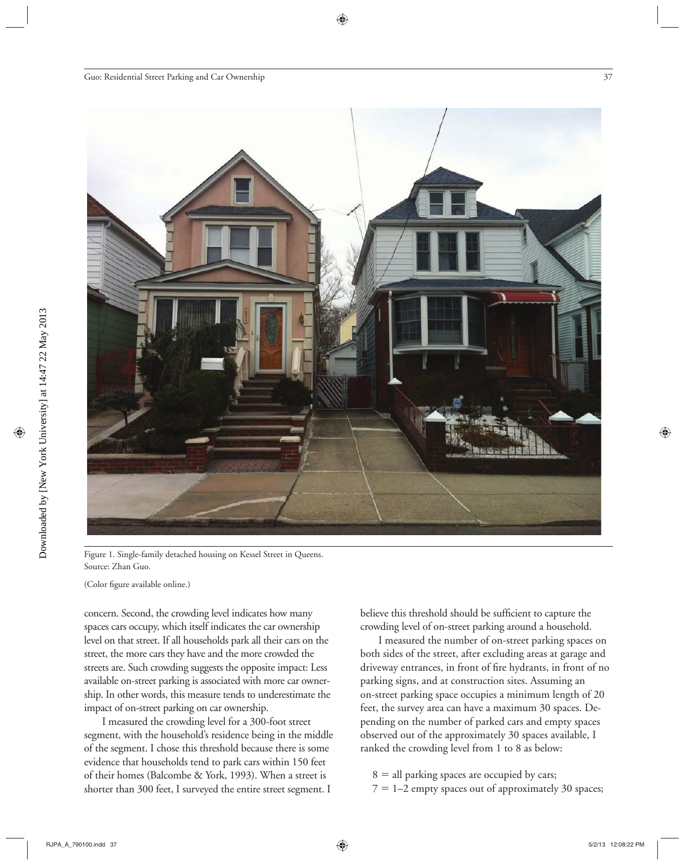

Figure 1. Single-family detached housing on Kessel Street in Queens. Source: Zhan Guo.

(Color figure available online.)

concern. Second, the crowding level indicates how many spaces cars occupy, which itself indicates the car ownership level on that street. If all households park all their cars on the street, the more cars they have and the more crowded the streets are. Such crowding suggests the opposite impact: Less available on-street parking is associated with more car ownership. In other words, this measure tends to underestimate the impact of on-street parking on car ownership.

I measured the crowding level for a 300-foot street segment, with the household's residence being in the middle of the segment. I chose this threshold because there is some evidence that households tend to park cars within 150 feet of their homes (Balcombe & York, 1993). When a street is shorter than 300 feet, I surveyed the entire street segment. I

believe this threshold should be sufficient to capture the crowding level of on-street parking around a household.

I measured the number of on-street parking spaces on both sides of the street, after excluding areas at garage and driveway entrances, in front of fire hydrants, in front of no parking signs, and at construction sites. Assuming an on-street parking space occupies a minimum length of 20 feet, the survey area can have a maximum 30 spaces. Depending on the number of parked cars and empty spaces observed out of the approximately 30 spaces available, I ranked the crowding level from 1 to 8 as below:

 $8 =$  all parking spaces are occupied by cars;  $7 = 1-2$  empty spaces out of approximately 30 spaces;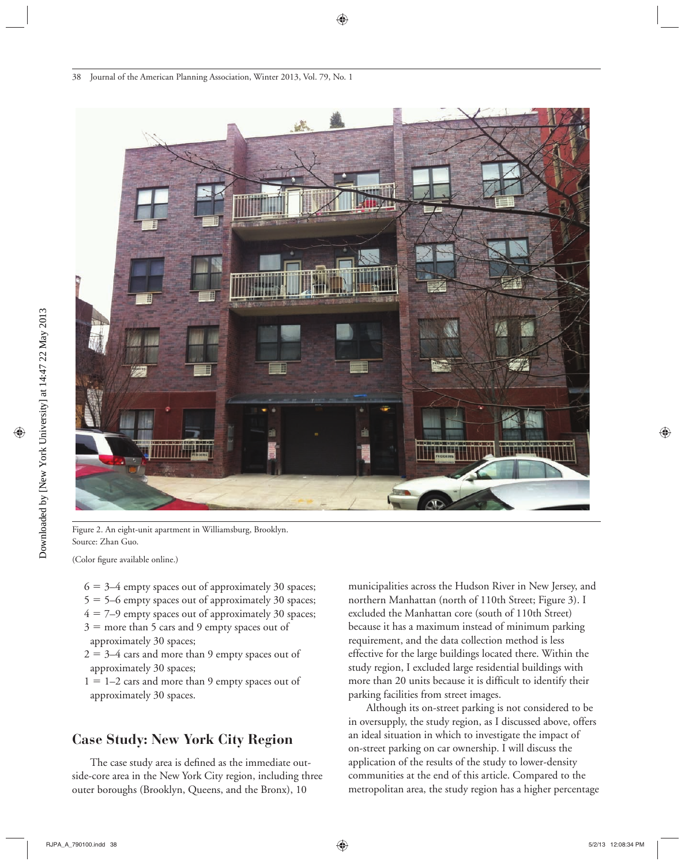

Figure 2. An eight-unit apartment in Williamsburg, Brooklyn. Source: Zhan Guo.

(Color figure available online.)

- $6 = 3-4$  empty spaces out of approximately 30 spaces;
- $5 = 5-6$  empty spaces out of approximately 30 spaces;
- $4 = 7-9$  empty spaces out of approximately 30 spaces;
- $3 =$  more than 5 cars and 9 empty spaces out of approximately 30 spaces;
- $2 = 3-4$  cars and more than 9 empty spaces out of approximately 30 spaces;
- $1 = 1-2$  cars and more than 9 empty spaces out of approximately 30 spaces.

## **Case Study: New York City Region**

The case study area is defined as the immediate outside-core area in the New York City region, including three outer boroughs (Brooklyn, Queens, and the Bronx), 10

municipalities across the Hudson River in New Jersey, and northern Manhattan (north of 110th Street; Figure 3). I excluded the Manhattan core (south of 110th Street) because it has a maximum instead of minimum parking requirement, and the data collection method is less effective for the large buildings located there. Within the study region, I excluded large residential buildings with more than 20 units because it is difficult to identify their parking facilities from street images.

Although its on-street parking is not considered to be in oversupply, the study region, as I discussed above, offers an ideal situation in which to investigate the impact of on-street parking on car ownership. I will discuss the application of the results of the study to lower-density communities at the end of this article. Compared to the metropolitan area, the study region has a higher percentage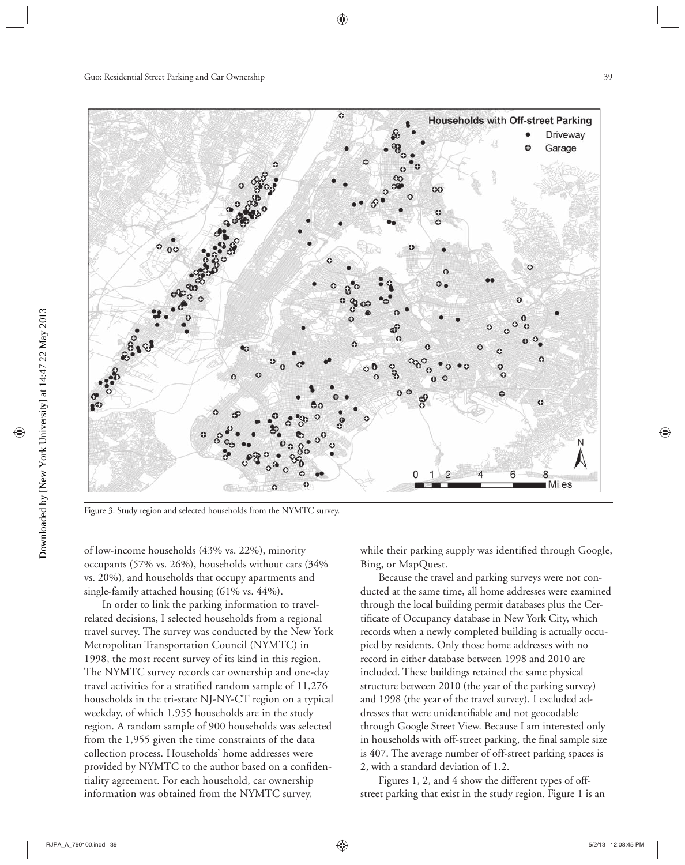

Figure 3. Study region and selected households from the NYMTC survey.

of low-income households (43% vs. 22%), minority occupants (57% vs. 26%), households without cars (34% vs. 20%), and households that occupy apartments and single-family attached housing (61% vs. 44%).

In order to link the parking information to travelrelated decisions, I selected households from a regional travel survey. The survey was conducted by the New York Metropolitan Transportation Council (NYMTC) in 1998, the most recent survey of its kind in this region. The NYMTC survey records car ownership and one-day travel activities for a stratified random sample of  $11,276$ households in the tri-state NJ-NY-CT region on a typical weekday, of which 1,955 households are in the study region. A random sample of 900 households was selected from the 1,955 given the time constraints of the data collection process. Households' home addresses were provided by NYMTC to the author based on a confidentiality agreement. For each household, car ownership information was obtained from the NYMTC survey,

while their parking supply was identified through Google, Bing, or MapQuest.

Because the travel and parking surveys were not conducted at the same time, all home addresses were examined through the local building permit databases plus the Certificate of Occupancy database in New York City, which records when a newly completed building is actually occupied by residents. Only those home addresses with no record in either database between 1998 and 2010 are included. These buildings retained the same physical structure between 2010 (the year of the parking survey) and 1998 (the year of the travel survey). I excluded addresses that were unidentifiable and not geocodable through Google Street View. Because I am interested only in households with off-street parking, the final sample size is 407. The average number of off-street parking spaces is 2, with a standard deviation of 1.2.

Figures 1, 2, and 4 show the different types of offstreet parking that exist in the study region. Figure 1 is an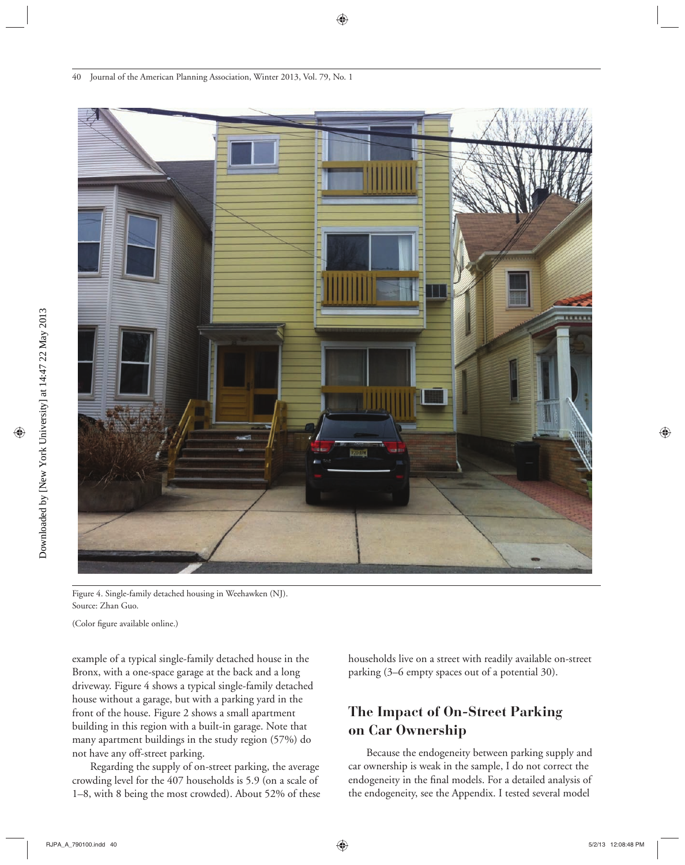

Figure 4. Single-family detached housing in Weehawken (NJ). Source: Zhan Guo.

(Color figure available online.)

example of a typical single-family detached house in the Bronx, with a one-space garage at the back and a long driveway. Figure 4 shows a typical single-family detached house without a garage, but with a parking yard in the front of the house. Figure 2 shows a small apartment building in this region with a built-in garage. Note that many apartment buildings in the study region (57%) do not have any off-street parking.

Regarding the supply of on-street parking, the average crowding level for the 407 households is 5.9 (on a scale of 1–8, with 8 being the most crowded). About 52% of these households live on a street with readily available on-street parking (3–6 empty spaces out of a potential 30).

# **The Impact of On-Street Parking on Car Ownership**

Because the endogeneity between parking supply and car ownership is weak in the sample, I do not correct the endogeneity in the final models. For a detailed analysis of the endogeneity, see the Appendix. I tested several model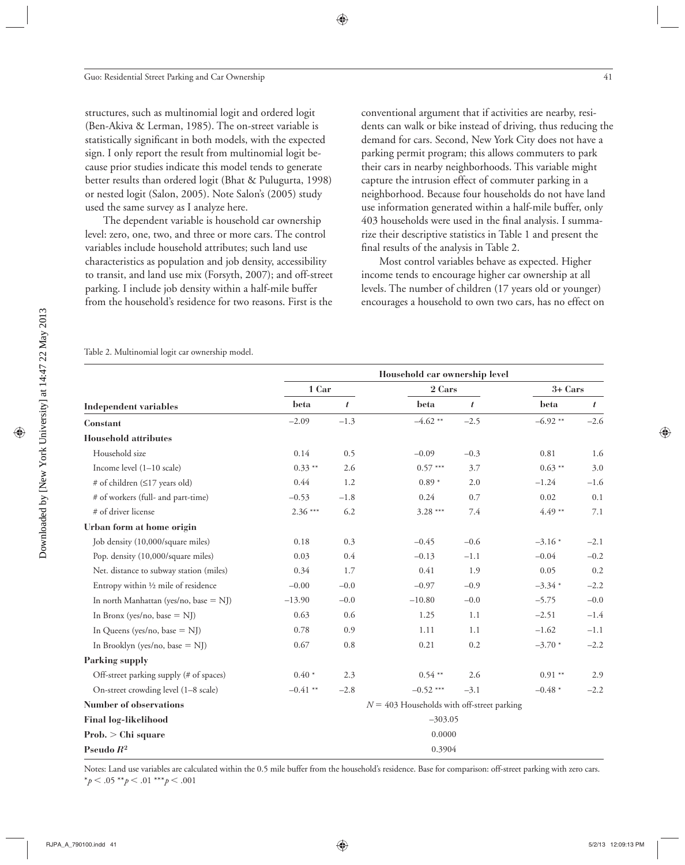structures, such as multinomial logit and ordered logit (Ben-Akiva & Lerman, 1985). The on-street variable is statistically significant in both models, with the expected sign. I only report the result from multinomial logit because prior studies indicate this model tends to generate better results than ordered logit (Bhat & Pulugurta, 1998) or nested logit (Salon, 2005). Note Salon's (2005) study used the same survey as I analyze here.

The dependent variable is household car ownership level: zero, one, two, and three or more cars. The control variables include household attributes; such land use characteristics as population and job density, accessibility to transit, and land use mix (Forsyth, 2007); and off-street parking. I include job density within a half-mile buffer from the household's residence for two reasons. First is the conventional argument that if activities are nearby, residents can walk or bike instead of driving, thus reducing the demand for cars. Second, New York City does not have a parking permit program; this allows commuters to park their cars in nearby neighborhoods. This variable might capture the intrusion effect of commuter parking in a neighborhood. Because four households do not have land use information generated within a half-mile buffer, only 403 households were used in the final analysis. I summarize their descriptive statistics in Table 1 and present the final results of the analysis in Table 2.

Most control variables behave as expected. Higher income tends to encourage higher car ownership at all levels. The number of children (17 years old or younger) encourages a household to own two cars, has no effect on

Table 2. Multinomial logit car ownership model.

|                                         |            | Household car ownership level |                                              |              |           |           |  |  |
|-----------------------------------------|------------|-------------------------------|----------------------------------------------|--------------|-----------|-----------|--|--|
|                                         | 1 Car      |                               | 2 Cars                                       |              |           | $3+$ Cars |  |  |
| <b>Independent variables</b>            | beta       | $\boldsymbol{t}$              | beta                                         | $\mathbf{t}$ | beta      | t         |  |  |
| <b>Constant</b>                         | $-2.09$    | $-1.3$                        | $-4.62**$                                    | $-2.5$       | $-6.92**$ | $-2.6$    |  |  |
| <b>Household attributes</b>             |            |                               |                                              |              |           |           |  |  |
| Household size                          | 0.14       | 0.5                           | $-0.09$                                      | $-0.3$       | 0.81      | 1.6       |  |  |
| Income level (1-10 scale)               | $0.33**$   | 2.6                           | $0.57***$                                    | 3.7          | $0.63**$  | 3.0       |  |  |
| # of children (≤17 years old)           | 0.44       | 1.2                           | $0.89*$                                      | 2.0          | $-1.24$   | $-1.6$    |  |  |
| # of workers (full- and part-time)      | $-0.53$    | $-1.8$                        | 0.24                                         | 0.7          | 0.02      | 0.1       |  |  |
| # of driver license                     | $2.36***$  | 6.2                           | $3.28***$                                    | 7.4          | $4.49**$  | 7.1       |  |  |
| Urban form at home origin               |            |                               |                                              |              |           |           |  |  |
| Job density (10,000/square miles)       | 0.18       | 0.3                           | $-0.45$                                      | $-0.6$       | $-3.16*$  | $-2.1$    |  |  |
| Pop. density (10,000/square miles)      | 0.03       | 0.4                           | $-0.13$                                      | $-1.1$       | $-0.04$   | $-0.2$    |  |  |
| Net. distance to subway station (miles) | 0.34       | 1.7                           | 0.41                                         | 1.9          | 0.05      | 0.2       |  |  |
| Entropy within 1/2 mile of residence    | $-0.00$    | $-0.0$                        | $-0.97$                                      | $-0.9$       | $-3.34*$  | $-2.2$    |  |  |
| In north Manhattan (yes/no, base = NJ)  | $-13.90$   | $-0.0$                        | $-10.80$                                     | $-0.0$       | $-5.75$   | $-0.0$    |  |  |
| In Bronx (yes/no, base $=$ NJ)          | 0.63       | 0.6                           | 1.25                                         | 1.1          | $-2.51$   | $-1.4$    |  |  |
| In Queens (yes/no, base $=$ NJ)         | 0.78       | 0.9                           | 1.11                                         | 1.1          | $-1.62$   | $-1.1$    |  |  |
| In Brooklyn (yes/no, base = NJ)         | 0.67       | 0.8                           | 0.21                                         | 0.2          | $-3.70*$  | $-2.2$    |  |  |
| <b>Parking supply</b>                   |            |                               |                                              |              |           |           |  |  |
| Off-street parking supply (# of spaces) | $0.40*$    | 2.3                           | $0.54**$                                     | 2.6          | $0.91**$  | 2.9       |  |  |
| On-street crowding level (1-8 scale)    | $-0.41$ ** | $-2.8$                        | $-0.52$ ***                                  | $-3.1$       | $-0.48*$  | $-2.2$    |  |  |
| <b>Number of observations</b>           |            |                               | $N = 403$ Households with off-street parking |              |           |           |  |  |
| <b>Final log-likelihood</b>             |            |                               | $-303.05$                                    |              |           |           |  |  |
| Prob. > Chi square                      |            |                               | 0.0000                                       |              |           |           |  |  |
| Pseudo $R^2$                            |            |                               | 0.3904                                       |              |           |           |  |  |

Notes: Land use variables are calculated within the 0.5 mile buffer from the household's residence. Base for comparison: off-street parking with zero cars.  $*_{p}$  < .05  $*_{p}$  < .01  $*_{p}$  < .001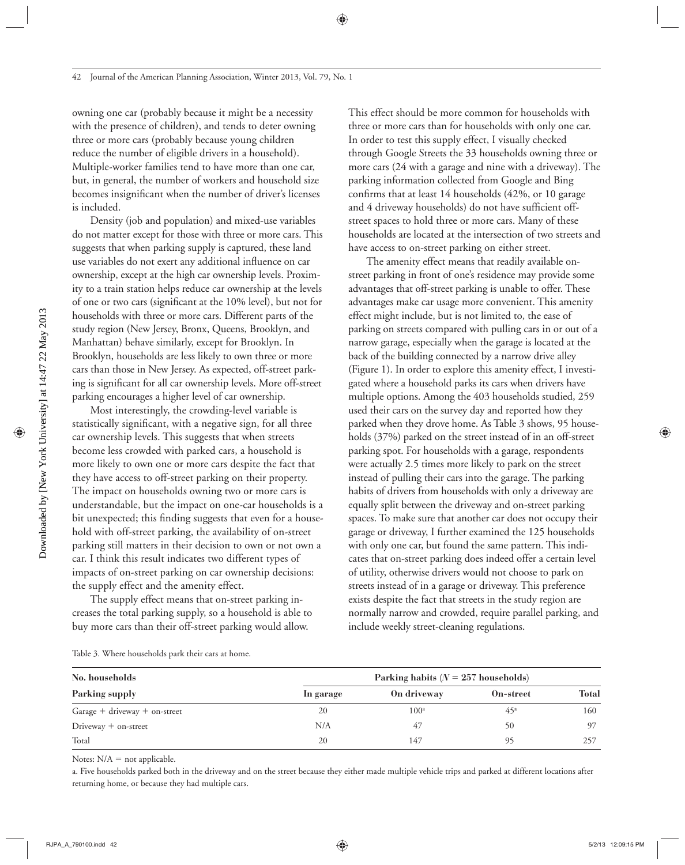owning one car (probably because it might be a necessity with the presence of children), and tends to deter owning three or more cars (probably because young children reduce the number of eligible drivers in a household). Multiple-worker families tend to have more than one car, but, in general, the number of workers and household size becomes insignificant when the number of driver's licenses is included.

Density (job and population) and mixed-use variables do not matter except for those with three or more cars. This suggests that when parking supply is captured, these land use variables do not exert any additional influence on car ownership, except at the high car ownership levels. Proximity to a train station helps reduce car ownership at the levels of one or two cars (significant at the 10% level), but not for households with three or more cars. Different parts of the study region (New Jersey, Bronx, Queens, Brooklyn, and Manhattan) behave similarly, except for Brooklyn. In Brooklyn, households are less likely to own three or more cars than those in New Jersey. As expected, off-street parking is significant for all car ownership levels. More off-street parking encourages a higher level of car ownership.

Most interestingly, the crowding-level variable is statistically significant, with a negative sign, for all three car ownership levels. This suggests that when streets become less crowded with parked cars, a household is more likely to own one or more cars despite the fact that they have access to off-street parking on their property. The impact on households owning two or more cars is understandable, but the impact on one-car households is a bit unexpected; this finding suggests that even for a household with off-street parking, the availability of on-street parking still matters in their decision to own or not own a car. I think this result indicates two different types of impacts of on-street parking on car ownership decisions: the supply effect and the amenity effect.

The supply effect means that on-street parking increases the total parking supply, so a household is able to buy more cars than their off-street parking would allow.

This effect should be more common for households with three or more cars than for households with only one car. In order to test this supply effect, I visually checked through Google Streets the 33 households owning three or more cars (24 with a garage and nine with a driveway). The parking information collected from Google and Bing confirms that at least 14 households (42%, or 10 garage and 4 driveway households) do not have sufficient offstreet spaces to hold three or more cars. Many of these households are located at the intersection of two streets and have access to on-street parking on either street.

The amenity effect means that readily available onstreet parking in front of one's residence may provide some advantages that off-street parking is unable to offer. These advantages make car usage more convenient. This amenity effect might include, but is not limited to, the ease of parking on streets compared with pulling cars in or out of a narrow garage, especially when the garage is located at the back of the building connected by a narrow drive alley (Figure 1). In order to explore this amenity effect, I investigated where a household parks its cars when drivers have multiple options. Among the 403 households studied, 259 used their cars on the survey day and reported how they parked when they drove home. As Table 3 shows, 95 households (37%) parked on the street instead of in an off-street parking spot. For households with a garage, respondents were actually 2.5 times more likely to park on the street instead of pulling their cars into the garage. The parking habits of drivers from households with only a driveway are equally split between the driveway and on-street parking spaces. To make sure that another car does not occupy their garage or driveway, I further examined the 125 households with only one car, but found the same pattern. This indicates that on-street parking does indeed offer a certain level of utility, otherwise drivers would not choose to park on streets instead of in a garage or driveway. This preference exists despite the fact that streets in the study region are normally narrow and crowded, require parallel parking, and include weekly street-cleaning regulations.

| Table 3. Where households park their cars at home. |  |  |  |  |
|----------------------------------------------------|--|--|--|--|
|----------------------------------------------------|--|--|--|--|

| No. households<br>Parking supply  |           | Parking habits ( $N = 257$ households) |                 |       |
|-----------------------------------|-----------|----------------------------------------|-----------------|-------|
|                                   | In garage | On driveway                            | On-street       | Total |
| Garage $+$ driveway $+$ on-street | 20        | 100 <sup>a</sup>                       | 45 <sup>a</sup> | 160   |
| $Driv$ eway + on-street           | N/A       | 47                                     | 50              | 97    |
| Total                             | 20        | 147                                    | 95              | 257   |

Notes:  $N/A$  = not applicable.

a. Five households parked both in the driveway and on the street because they either made multiple vehicle trips and parked at different locations after returning home, or because they had multiple cars.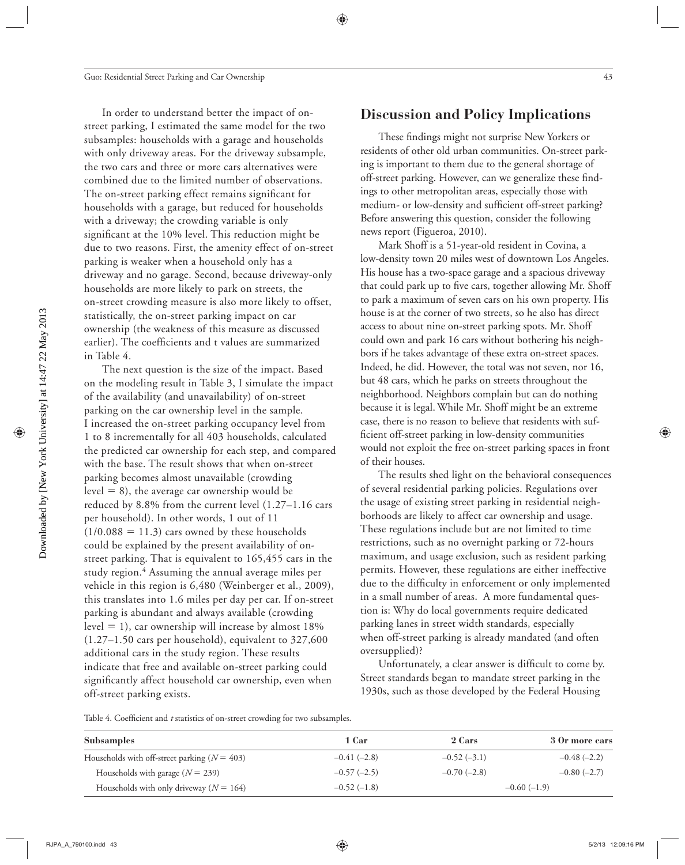In order to understand better the impact of onstreet parking, I estimated the same model for the two subsamples: households with a garage and households with only driveway areas. For the driveway subsample, the two cars and three or more cars alternatives were combined due to the limited number of observations. The on-street parking effect remains significant for households with a garage, but reduced for households with a driveway; the crowding variable is only significant at the 10% level. This reduction might be due to two reasons. First, the amenity effect of on-street parking is weaker when a household only has a driveway and no garage. Second, because driveway-only households are more likely to park on streets, the on-street crowding measure is also more likely to offset, statistically, the on-street parking impact on car ownership (the weakness of this measure as discussed earlier). The coefficients and t values are summarized in Table 4.

The next question is the size of the impact. Based on the modeling result in Table 3, I simulate the impact of the availability (and unavailability) of on-street parking on the car ownership level in the sample. I increased the on-street parking occupancy level from 1 to 8 incrementally for all 403 households, calculated the predicted car ownership for each step, and compared with the base. The result shows that when on-street parking becomes almost unavailable (crowding  $level = 8$ ), the average car ownership would be reduced by 8.8% from the current level (1.27–1.16 cars per household). In other words, 1 out of 11  $(1/0.088 = 11.3)$  cars owned by these households could be explained by the present availability of onstreet parking. That is equivalent to 165,455 cars in the study region.4 Assuming the annual average miles per vehicle in this region is 6,480 (Weinberger et al., 2009), this translates into 1.6 miles per day per car. If on-street parking is abundant and always available (crowding level  $= 1$ ), car ownership will increase by almost 18% (1.27–1.50 cars per household), equivalent to 327,600 additional cars in the study region. These results indicate that free and available on-street parking could significantly affect household car ownership, even when off-street parking exists.

## **Discussion and Policy Implications**

These findings might not surprise New Yorkers or residents of other old urban communities. On-street parking is important to them due to the general shortage of off-street parking. However, can we generalize these findings to other metropolitan areas, especially those with medium- or low-density and sufficient off-street parking? Before answering this question, consider the following news report (Figueroa, 2010).

Mark Shoff is a 51-year-old resident in Covina, a low-density town 20 miles west of downtown Los Angeles. His house has a two-space garage and a spacious driveway that could park up to five cars, together allowing Mr. Shoff to park a maximum of seven cars on his own property. His house is at the corner of two streets, so he also has direct access to about nine on-street parking spots. Mr. Shoff could own and park 16 cars without bothering his neighbors if he takes advantage of these extra on-street spaces. Indeed, he did. However, the total was not seven, nor 16, but 48 cars, which he parks on streets throughout the neighborhood. Neighbors complain but can do nothing because it is legal.While Mr. Shoff might be an extreme case, there is no reason to believe that residents with sufficient off-street parking in low-density communities would not exploit the free on-street parking spaces in front of their houses.

The results shed light on the behavioral consequences of several residential parking policies. Regulations over the usage of existing street parking in residential neighborhoods are likely to affect car ownership and usage. These regulations include but are not limited to time restrictions, such as no overnight parking or 72-hours maximum, and usage exclusion, such as resident parking permits. However, these regulations are either ineffective due to the difficulty in enforcement or only implemented in a small number of areas. A more fundamental question is: Why do local governments require dedicated parking lanes in street width standards, especially when off-street parking is already mandated (and often oversupplied)?

Unfortunately, a clear answer is difficult to come by. Street standards began to mandate street parking in the 1930s, such as those developed by the Federal Housing

Table 4. Coefficient and *t* statistics of on-street crowding for two subsamples.

| <b>Subsamples</b>                              | 1 Car         | 2 Cars         | 3 Or more cars |
|------------------------------------------------|---------------|----------------|----------------|
| Households with off-street parking $(N = 403)$ | $-0.41(-2.8)$ | $-0.52(-3.1)$  | $-0.48(-2.2)$  |
| Households with garage $(N = 239)$             | $-0.57(-2.5)$ | $-0.70$ (-2.8) | $-0.80$ (-2.7) |
| Households with only driveway ( $N = 164$ )    | $-0.52(-1.8)$ |                | $-0.60(-1.9)$  |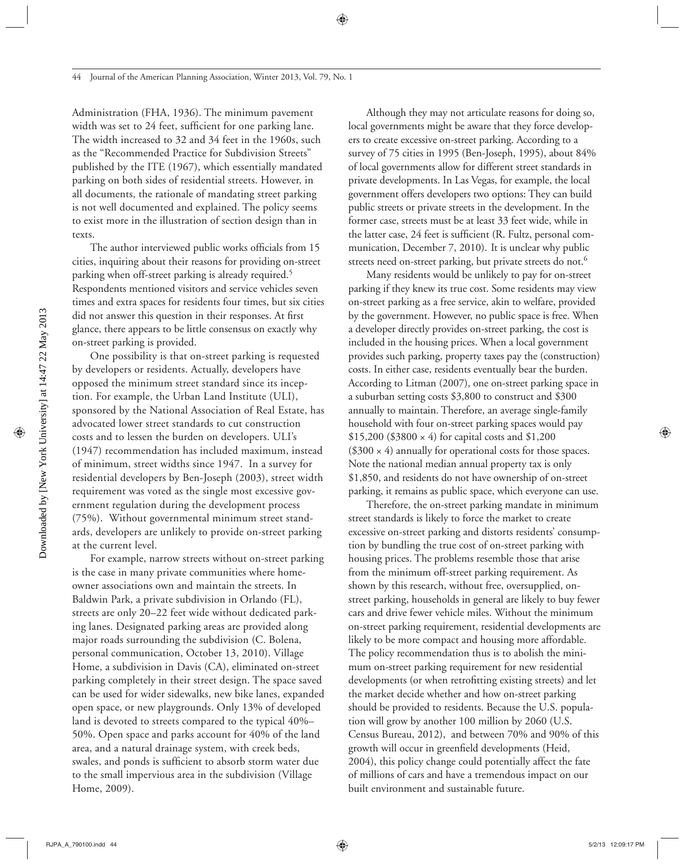Administration (FHA, 1936). The minimum pavement width was set to 24 feet, sufficient for one parking lane. The width increased to 32 and 34 feet in the 1960s, such as the "Recommended Practice for Subdivision Streets" published by the ITE (1967), which essentially mandated parking on both sides of residential streets. However, in all documents, the rationale of mandating street parking is not well documented and explained. The policy seems to exist more in the illustration of section design than in texts.

The author interviewed public works officials from 15 cities, inquiring about their reasons for providing on-street parking when off-street parking is already required.5 Respondents mentioned visitors and service vehicles seven times and extra spaces for residents four times, but six cities did not answer this question in their responses. At first glance, there appears to be little consensus on exactly why on-street parking is provided.

One possibility is that on-street parking is requested by developers or residents. Actually, developers have opposed the minimum street standard since its inception. For example, the Urban Land Institute (ULI), sponsored by the National Association of Real Estate, has advocated lower street standards to cut construction costs and to lessen the burden on developers. ULI's (1947) recommendation has included maximum, instead of minimum, street widths since 1947. In a survey for residential developers by Ben-Joseph (2003), street width requirement was voted as the single most excessive government regulation during the development process (75%). Without governmental minimum street standards, developers are unlikely to provide on-street parking at the current level.

For example, narrow streets without on-street parking is the case in many private communities where homeowner associations own and maintain the streets. In Baldwin Park, a private subdivision in Orlando (FL), streets are only 20–22 feet wide without dedicated parking lanes. Designated parking areas are provided along major roads surrounding the subdivision (C. Bolena, personal communication, October 13, 2010). Village Home, a subdivision in Davis (CA), eliminated on-street parking completely in their street design. The space saved can be used for wider sidewalks, new bike lanes, expanded open space, or new playgrounds. Only 13% of developed land is devoted to streets compared to the typical 40%– 50%. Open space and parks account for 40% of the land area, and a natural drainage system, with creek beds, swales, and ponds is sufficient to absorb storm water due to the small impervious area in the subdivision (Village Home, 2009).

Although they may not articulate reasons for doing so, local governments might be aware that they force developers to create excessive on-street parking. According to a survey of 75 cities in 1995 (Ben-Joseph, 1995), about 84% of local governments allow for different street standards in private developments. In Las Vegas, for example, the local government offers developers two options: They can build public streets or private streets in the development. In the former case, streets must be at least 33 feet wide, while in the latter case, 24 feet is sufficient (R. Fultz, personal communication, December 7, 2010). It is unclear why public streets need on-street parking, but private streets do not.<sup>6</sup>

Many residents would be unlikely to pay for on-street parking if they knew its true cost. Some residents may view on-street parking as a free service, akin to welfare, provided by the government. However, no public space is free. When a developer directly provides on-street parking, the cost is included in the housing prices. When a local government provides such parking, property taxes pay the (construction) costs. In either case, residents eventually bear the burden. According to Litman (2007), one on-street parking space in a suburban setting costs \$3,800 to construct and \$300 annually to maintain. Therefore, an average single-family household with four on-street parking spaces would pay \$15,200 (\$3800 × 4) for capital costs and \$1,200  $(\$300 \times 4)$  annually for operational costs for those spaces. Note the national median annual property tax is only \$1,850, and residents do not have ownership of on-street parking, it remains as public space, which everyone can use.

Therefore, the on-street parking mandate in minimum street standards is likely to force the market to create excessive on-street parking and distorts residents' consumption by bundling the true cost of on-street parking with housing prices. The problems resemble those that arise from the minimum off-street parking requirement. As shown by this research, without free, oversupplied, onstreet parking, households in general are likely to buy fewer cars and drive fewer vehicle miles. Without the minimum on-street parking requirement, residential developments are likely to be more compact and housing more affordable. The policy recommendation thus is to abolish the minimum on-street parking requirement for new residential developments (or when retrofitting existing streets) and let the market decide whether and how on-street parking should be provided to residents. Because the U.S. population will grow by another 100 million by 2060 (U.S. Census Bureau, 2012), and between 70% and 90% of this growth will occur in greenfield developments (Heid, 2004), this policy change could potentially affect the fate of millions of cars and have a tremendous impact on our built environment and sustainable future.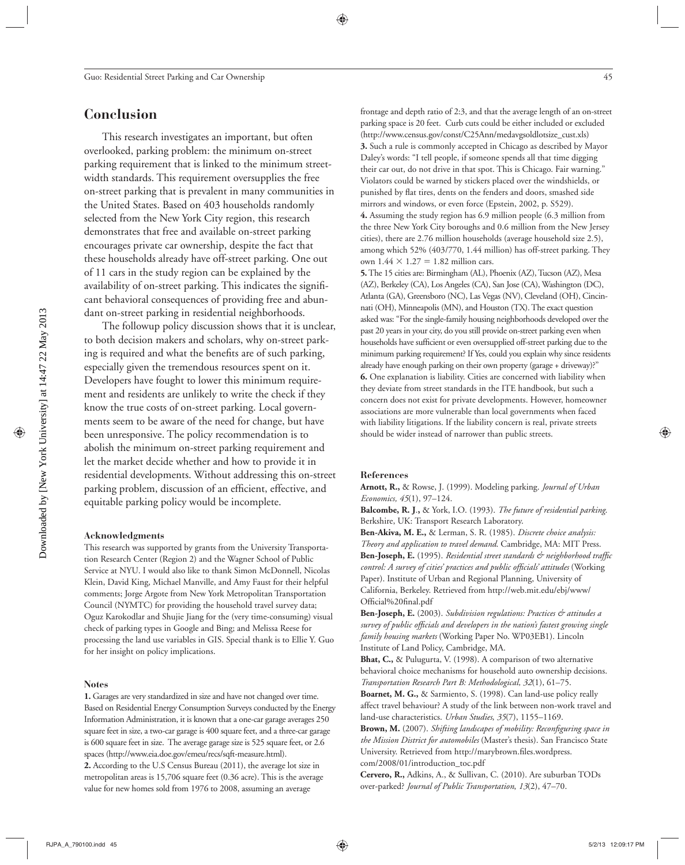## **Conclusion**

This research investigates an important, but often overlooked, parking problem: the minimum on-street parking requirement that is linked to the minimum streetwidth standards. This requirement oversupplies the free on-street parking that is prevalent in many communities in the United States. Based on 403 households randomly selected from the New York City region, this research demonstrates that free and available on-street parking encourages private car ownership, despite the fact that these households already have off-street parking. One out of 11 cars in the study region can be explained by the availability of on-street parking. This indicates the significant behavioral consequences of providing free and abundant on-street parking in residential neighborhoods.

The followup policy discussion shows that it is unclear, to both decision makers and scholars, why on-street parking is required and what the benefits are of such parking, especially given the tremendous resources spent on it. Developers have fought to lower this minimum requirement and residents are unlikely to write the check if they know the true costs of on-street parking. Local governments seem to be aware of the need for change, but have been unresponsive. The policy recommendation is to abolish the minimum on-street parking requirement and let the market decide whether and how to provide it in residential developments. Without addressing this on-street parking problem, discussion of an efficient, effective, and equitable parking policy would be incomplete.

#### **Acknowledgments**

This research was supported by grants from the University Transportation Research Center (Region 2) and the Wagner School of Public Service at NYU. I would also like to thank Simon McDonnell, Nicolas Klein, David King, Michael Manville, and Amy Faust for their helpful comments; Jorge Argote from New York Metropolitan Transportation Council (NYMTC) for providing the household travel survey data; Oguz Karokodlar and Shujie Jiang for the (very time-consuming) visual check of parking types in Google and Bing; and Melissa Reese for processing the land use variables in GIS. Special thank is to Ellie Y. Guo for her insight on policy implications.

#### **Notes**

**1.** Garages are very standardized in size and have not changed over time. Based on Residential Energy Consumption Surveys conducted by the Energy Information Administration, it is known that a one-car garage averages 250 square feet in size, a two-car garage is 400 square feet, and a three-car garage is 600 square feet in size. The average garage size is 525 square feet, or 2.6 spaces (http://www.eia.doe.gov/emeu/recs/sqft-measure.html). **2.** According to the U.S Census Bureau (2011), the average lot size in metropolitan areas is 15,706 square feet (0.36 acre). This is the average value for new homes sold from 1976 to 2008, assuming an average

frontage and depth ratio of 2:3, and that the average length of an on-street parking space is 20 feet. Curb cuts could be either included or excluded (http://www.census.gov/const/C25Ann/medavgsoldlotsize\_cust.xls) **3.** Such a rule is commonly accepted in Chicago as described by Mayor Daley's words: "I tell people, if someone spends all that time digging their car out, do not drive in that spot. This is Chicago. Fair warning." Violators could be warned by stickers placed over the windshields, or punished by flat tires, dents on the fenders and doors, smashed side mirrors and windows, or even force (Epstein, 2002, p. S529).

**4.** Assuming the study region has 6.9 million people (6.3 million from the three New York City boroughs and 0.6 million from the New Jersey cities), there are 2.76 million households (average household size 2.5), among which 52% (403/770, 1.44 million) has off-street parking. They own  $1.44 \times 1.27 = 1.82$  million cars.

**5.** The 15 cities are: Birmingham (AL), Phoenix (AZ), Tucson (AZ), Mesa (AZ), Berkeley (CA), Los Angeles (CA), San Jose (CA), Washington (DC), Atlanta (GA), Greensboro (NC), Las Vegas (NV), Cleveland (OH), Cincinnati (OH), Minneapolis (MN), and Houston (TX). The exact question asked was: "For the single-family housing neighborhoods developed over the past 20 years in your city, do you still provide on-street parking even when households have sufficient or even oversupplied off-street parking due to the minimum parking requirement? If Yes, could you explain why since residents already have enough parking on their own property (garage + driveway)?" **6.** One explanation is liability. Cities are concerned with liability when they deviate from street standards in the ITE handbook, but such a concern does not exist for private developments. However, homeowner associations are more vulnerable than local governments when faced with liability litigations. If the liability concern is real, private streets should be wider instead of narrower than public streets.

#### **References**

**Arnott, R.,** & Rowse, J. (1999). Modeling parking. *Journal of Urban Economics, 45*(1), 97–124.

**Balcombe, R. J**.**,** & York, I.O. (1993). *The future of residential parking*. Berkshire, UK: Transport Research Laboratory.

**Ben-Akiva, M. E.,** & Lerman, S. R. (1985). *Discrete choice analysis: Theory and application to travel demand*. Cambridge, MA: MIT Press. Ben-Joseph, E. (1995). *Residential street standards & neighborhood traffic control: A survey of cities' practices and public officials' attitudes* (Working Paper). Institute of Urban and Regional Planning, University of California, Berkeley. Retrieved from http://web.mit.edu/ebj/www/ Official%20final.pdf

**Ben-Joseph, E.** (2003). *Subdivision regulations: Practices & attitudes a*  survey of public officials and developers in the nation's fastest growing single *family housing markets* (Working Paper No. WP03EB1). Lincoln Institute of Land Policy, Cambridge, MA.

**Bhat, C.,** & Pulugurta, V. (1998). A comparison of two alternative behavioral choice mechanisms for household auto ownership decisions. *Transportation Research Part B: Methodological, 32*(1), 61–75.

**Boarnet, M. G.,** & Sarmiento, S. (1998). Can land-use policy really affect travel behaviour? A study of the link between non-work travel and land-use characteristics. *Urban Studies*, *35*(7), 1155–1169.

Brown, M. (2007). *Shifting landscapes of mobility: Reconfiguring space in the Mission District for automobiles* (Master's thesis). San Francisco State University. Retrieved from http://marybrown.files.wordpress. com/2008/01/introduction\_toc.pdf

**Cervero, R.,** Adkins, A., & Sullivan, C. (2010). Are suburban TODs over-parked? *Journal of Public Transportation*, *13*(2), 47–70.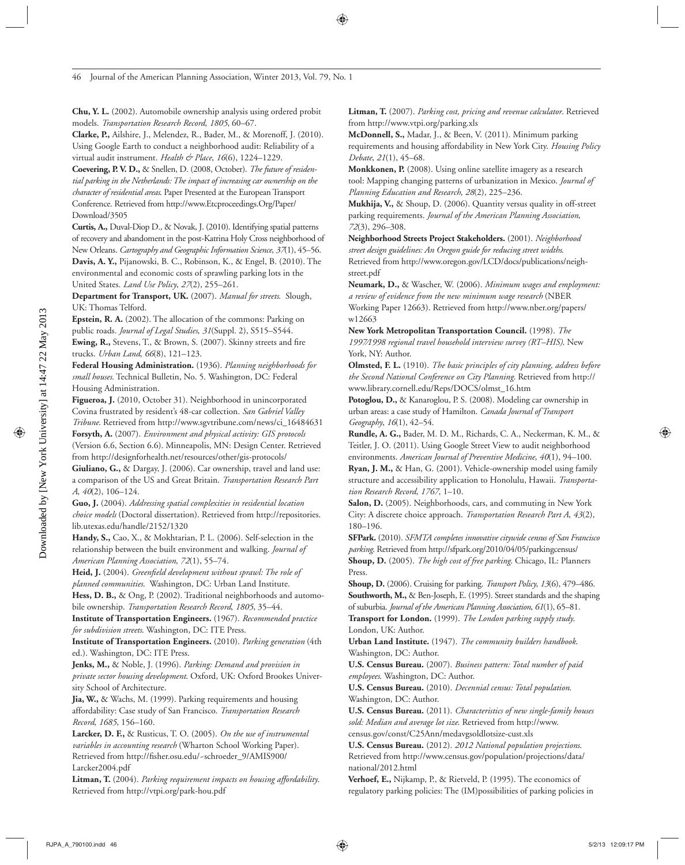**Chu, Y. L.** (2002). Automobile ownership analysis using ordered probit models. *Transportation Research Record*, *1805*, 60–67.

**Clarke, P.,** Ailshire, J., Melendez, R., Bader, M., & Morenoff, J. (2010). Using Google Earth to conduct a neighborhood audit: Reliability of a virtual audit instrument. *Health & Place*, *16*(6), 1224–1229.

**Coevering, P. V. D.,** & Snellen, D. (2008, October). *The future of residential parking in the Netherlands: The impact of increasing car ownership on the character of residential areas*. Paper Presented at the European Transport Conference. Retrieved from http://www.Etcproceedings.Org/Paper/ Download/3505

**Curtis, A.,** Duval-Diop D., & Novak, J. (2010). Identifying spatial patterns of recovery and abandoment in the post-Katrina Holy Cross neighborhood of New Orleans. *Cartography and Geographic Information Science*, *37*(1), 45–56. **Davis, A. Y.,** Pijanowski, B. C., Robinson, K., & Engel, B. (2010). The environmental and economic costs of sprawling parking lots in the United States. *Land Use Policy*, *27*(2), 255–261.

**Department for Transport, UK.** (2007). *Manual for streets*. Slough, UK: Thomas Telford.

**Epstein, R. A.** (2002). The allocation of the commons: Parking on public roads. *Journal of Legal Studies*, *31*(Suppl. 2), S515–S544. **Ewing, R.,** Stevens, T., & Brown, S. (2007). Skinny streets and fire trucks. *Urban Land*, *66*(8), 121–123.

**Federal Housing Administration.** (1936). *Planning neighborhoods for small houses*. Technical Bulletin, No. 5. Washington, DC: Federal Housing Administration.

**Figueroa, J.** (2010, October 31). Neighborhood in unincorporated Covina frustrated by resident's 48-car collection. *San Gabriel Valley Tribune*. Retrieved from http://www.sgvtribune.com/news/ci\_16484631 **Forsyth, A.** (2007). *Environment and physical activity: GIS protocols*  (Version 6.6, Section 6.6). Minneapolis, MN: Design Center. Retrieved from http://designforhealth.net/resources/other/gis-protocols/ **Giuliano, G.,** & Dargay, J. (2006). Car ownership, travel and land use: a comparison of the US and Great Britain. *Transportation Research Part* 

*A*, *40*(2), 106–124. **Guo, J.** (2004). *Addressing spatial complexities in residential location* 

*choice models* (Doctoral dissertation). Retrieved from http://repositories. lib.utexas.edu/handle/2152/1320

**Handy, S.,** Cao, X., & Mokhtarian, P. L. (2006). Self-selection in the relationship between the built environment and walking. *Journal of American Planning Association*, *72*(1), 55–74.

Heid, J. (2004). *Greenfield development without sprawl: The role of planned communities*. Washington, DC: Urban Land Institute.

Hess, D. B., & Ong, P. (2002). Traditional neighborhoods and automobile ownership. *Transportation Research Record*, *1805*, 35–44.

**Institute of Transportation Engineers.** (1967). *Recommended practice for subdivision streets*. Washington, DC: ITE Press.

**Institute of Transportation Engineers.** (2010). *Parking generation* (4th ed.). Washington, DC: ITE Press.

**Jenks, M.,** & Noble, J. (1996). *Parking: Demand and provision in private sector housing development*. Oxford, UK: Oxford Brookes University School of Architecture.

**Jia, W.,** & Wachs, M. (1999). Parking requirements and housing affordability: Case study of San Francisco. *Transportation Research Record*, *1685*, 156–160.

**Larcker, D. F.,** & Rusticus, T. O. (2005). *On the use of instrumental variables in accounting research* (Wharton School Working Paper). Retrieved from http://fisher.osu.edu/~schroeder\_9/AMIS900/ Larcker2004.pdf

**Litman, T.** (2004). *Parking requirement impacts on housing affordability*. Retrieved from http://vtpi.org/park-hou.pdf

**Litman, T.** (2007). *Parking cost, pricing and revenue calculator*. Retrieved from http://www.vtpi.org/parking.xls

**McDonnell, S.,** Madar, J., & Been, V. (2011). Minimum parking requirements and housing affordability in New York City. *Housing Policy Debate*, *21*(1), 45–68.

Monkkonen, P. (2008). Using online satellite imagery as a research tool: Mapping changing patterns of urbanization in Mexico. *Journal of Planning Education and Research*, *28*(2), 225–236.

**Mukhija, V.,** & Shoup, D. (2006). Quantity versus quality in off-street parking requirements. *Journal of the American Planning Association*, *72*(3), 296–308.

**Neighborhood Streets Project Stakeholders.** (2001). *Neighborhood street design guidelines: An Oregon guide for reducing street widths*. Retrieved from http://www.oregon.gov/LCD/docs/publications/neighstreet.pdf

**Neumark, D.,** & Wascher, W. (2006). *Minimum wages and employment: a review of evidence from the new minimum wage research* (NBER Working Paper 12663). Retrieved from http://www.nber.org/papers/ w12663

**New York Metropolitan Transportation Council.** (1998). *The 1997⁄1998 regional travel household interview survey (RT–HIS)*. New York, NY: Author.

**Olmsted, F. L.** (1910). *The basic principles of city planning, address before the Second National Conference on City Planning*. Retrieved from http:// www.library.cornell.edu/Reps/DOCS/olmst\_16.htm

**Potoglou, D.,** & Kanaroglou, P. S. (2008). Modeling car ownership in urban areas: a case study of Hamilton. *Canada Journal of Transport Geography*, *16*(1), 42–54.

**Rundle, A. G.,** Bader, M. D. M., Richards, C. A., Neckerman, K. M., & Teitler, J. O. (2011). Using Google Street View to audit neighborhood environments. *American Journal of Preventive Medicine*, *40*(1), 94–100.

**Ryan, J. M.,** & Han, G. (2001). Vehicle-ownership model using family structure and accessibility application to Honolulu, Hawaii. *Transportation Research Record*, *1767*, 1–10.

Salon, D. (2005). Neighborhoods, cars, and commuting in New York City: A discrete choice approach. *Transportation Research Part A*, *43*(2), 180–196.

**SFPark.** (2010). *SFMTA completes innovative citywide census of San Francisco parking*. Retrieved from http://sfpark.org/2010/04/05/parkingcensus/ **Shoup, D.** (2005). *The high cost of free parking*. Chicago, IL: Planners Press.

**Shoup, D.** (2006). Cruising for parking. *Transport Policy*, *13*(6), 479–486. **Southworth, M.,** & Ben-Joseph, E. (1995). Street standards and the shaping of suburbia. *Journal of the American Planning Association*, *61*(1), 65–81.

**Transport for London.** (1999). *The London parking supply study*. London, UK: Author.

**Urban Land Institute.** (1947). *The community builders handbook*. Washington, DC: Author.

**U.S. Census Bureau.** (2007). *Business pattern: Total number of paid employees*. Washington, DC: Author.

**U.S. Census Bureau.** (2010). *Decennial census: Total population*. Washington, DC: Author.

**U.S. Census Bureau.** (2011). *Characteristics of new single-family houses sold: Median and average lot size*. Retrieved from http://www.

census.gov/const/C25Ann/medavgsoldlotsize-cust.xls

**U.S. Census Bureau.** (2012). *2012 National population projections*. Retrieved from http://www.census.gov/population/projections/data/ national/2012.html

**Verhoef, E.,** Nijkamp, P., & Rietveld, P. (1995). The economics of regulatory parking policies: The (IM)possibilities of parking policies in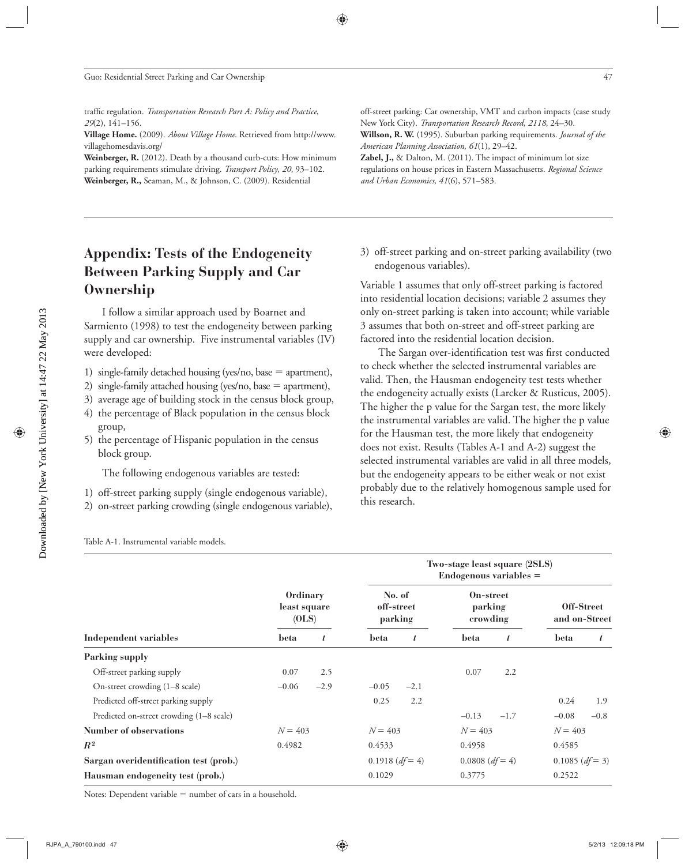traffic regulation. *Transportation Research Part A: Policy and Practice*, *29*(2), 141–156.

**Village Home.** (2009). *About Village Home*. Retrieved from http://www. villagehomesdavis.org/

Weinberger, R. (2012). Death by a thousand curb-cuts: How minimum parking requirements stimulate driving. *Transport Policy*, *20*, 93–102. **Weinberger, R.,** Seaman, M., & Johnson, C. (2009). Residential

off-street parking: Car ownership, VMT and carbon impacts (case study New York City). *Transportation Research Record*, *2118*, 24–30. **Willson, R. W.** (1995). Suburban parking requirements. *Journal of the American Planning Association*, *61*(1), 29–42. **Zabel, J.,** & Dalton, M. (2011). The impact of minimum lot size regulations on house prices in Eastern Massachusetts. *Regional Science* 

*and Urban Economics*, *41*(6), 571–583.

# **Appendix: Tests of the Endogeneity Between Parking Supply and Car Ownership**

I follow a similar approach used by Boarnet and Sarmiento (1998) to test the endogeneity between parking supply and car ownership. Five instrumental variables (IV) were developed:

- 1) single-family detached housing (yes/no, base  $=$  apartment),
- 2) single-family attached housing (yes/no, base  $=$  apartment),
- 3) average age of building stock in the census block group,
- 4) the percentage of Black population in the census block group,
- 5) the percentage of Hispanic population in the census block group.

The following endogenous variables are tested:

- 1) off-street parking supply (single endogenous variable),
- 2) on-street parking crowding (single endogenous variable),

3) off-street parking and on-street parking availability (two endogenous variables).

Variable 1 assumes that only off-street parking is factored into residential location decisions; variable 2 assumes they only on-street parking is taken into account; while variable 3 assumes that both on-street and off-street parking are factored into the residential location decision.

The Sargan over-identification test was first conducted to check whether the selected instrumental variables are valid. Then, the Hausman endogeneity test tests whether the endogeneity actually exists (Larcker & Rusticus, 2005). The higher the p value for the Sargan test, the more likely the instrumental variables are valid. The higher the p value for the Hausman test, the more likely that endogeneity does not exist. Results (Tables A-1 and A-2) suggest the selected instrumental variables are valid in all three models, but the endogeneity appears to be either weak or not exist probably due to the relatively homogenous sample used for this research.

| Table A-1. Instrumental variable models. |  |  |
|------------------------------------------|--|--|
|------------------------------------------|--|--|

|                                          |                                   |        | Two-stage least square (2SLS)<br>$Endogenous variables =$ |        |                                  |        |                             |        |  |
|------------------------------------------|-----------------------------------|--------|-----------------------------------------------------------|--------|----------------------------------|--------|-----------------------------|--------|--|
|                                          | Ordinary<br>least square<br>(OLS) |        | No. of<br>off-street<br>parking                           |        | On-street<br>parking<br>crowding |        | Off-Street<br>and on-Street |        |  |
| Independent variables                    | beta                              | t      | <b>beta</b>                                               | t      | beta                             | t      | beta                        | t      |  |
| <b>Parking supply</b>                    |                                   |        |                                                           |        |                                  |        |                             |        |  |
| Off-street parking supply                | 0.07                              | 2.5    |                                                           |        | 0.07                             | 2.2    |                             |        |  |
| On-street crowding (1-8 scale)           | $-0.06$                           | $-2.9$ | $-0.05$                                                   | $-2.1$ |                                  |        |                             |        |  |
| Predicted off-street parking supply      |                                   |        | 0.25                                                      | 2.2    |                                  |        | 0.24                        | 1.9    |  |
| Predicted on-street crowding (1-8 scale) |                                   |        |                                                           |        | $-0.13$                          | $-1.7$ | $-0.08$                     | $-0.8$ |  |
| <b>Number of observations</b>            | $N = 403$                         |        | $N = 403$                                                 |        | $N = 403$                        |        | $N = 403$                   |        |  |
| $\mathbb{R}^2$                           | 0.4982                            |        | 0.4533                                                    |        | 0.4958                           |        | 0.4585                      |        |  |
| Sargan overidentification test (prob.)   |                                   |        | $0.1918$ (df = 4)                                         |        | $0.0808$ (df = 4)                |        | $0.1085$ ( <i>df</i> = 3)   |        |  |
| Hausman endogeneity test (prob.)         |                                   |        | 0.1029                                                    |        |                                  | 0.3775 |                             | 0.2522 |  |

Notes: Dependent variable  $=$  number of cars in a household.